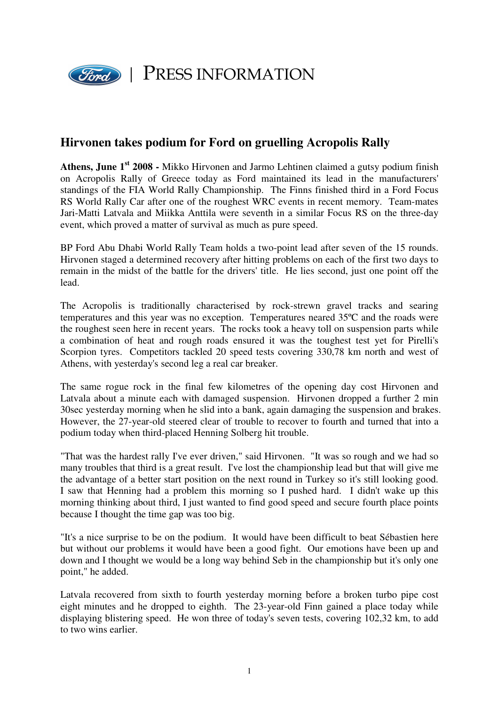

## **Hirvonen takes podium for Ford on gruelling Acropolis Rally**

**Athens, June 1st 2008 -** Mikko Hirvonen and Jarmo Lehtinen claimed a gutsy podium finish on Acropolis Rally of Greece today as Ford maintained its lead in the manufacturers' standings of the FIA World Rally Championship. The Finns finished third in a Ford Focus RS World Rally Car after one of the roughest WRC events in recent memory. Team-mates Jari-Matti Latvala and Miikka Anttila were seventh in a similar Focus RS on the three-day event, which proved a matter of survival as much as pure speed.

BP Ford Abu Dhabi World Rally Team holds a two-point lead after seven of the 15 rounds. Hirvonen staged a determined recovery after hitting problems on each of the first two days to remain in the midst of the battle for the drivers' title. He lies second, just one point off the lead.

The Acropolis is traditionally characterised by rock-strewn gravel tracks and searing temperatures and this year was no exception. Temperatures neared 35ºC and the roads were the roughest seen here in recent years. The rocks took a heavy toll on suspension parts while a combination of heat and rough roads ensured it was the toughest test yet for Pirelli's Scorpion tyres. Competitors tackled 20 speed tests covering 330,78 km north and west of Athens, with yesterday's second leg a real car breaker.

The same rogue rock in the final few kilometres of the opening day cost Hirvonen and Latvala about a minute each with damaged suspension. Hirvonen dropped a further 2 min 30sec yesterday morning when he slid into a bank, again damaging the suspension and brakes. However, the 27-year-old steered clear of trouble to recover to fourth and turned that into a podium today when third-placed Henning Solberg hit trouble.

"That was the hardest rally I've ever driven," said Hirvonen. "It was so rough and we had so many troubles that third is a great result. I've lost the championship lead but that will give me the advantage of a better start position on the next round in Turkey so it's still looking good. I saw that Henning had a problem this morning so I pushed hard. I didn't wake up this morning thinking about third, I just wanted to find good speed and secure fourth place points because I thought the time gap was too big.

"It's a nice surprise to be on the podium. It would have been difficult to beat Sébastien here but without our problems it would have been a good fight. Our emotions have been up and down and I thought we would be a long way behind Seb in the championship but it's only one point," he added.

Latvala recovered from sixth to fourth yesterday morning before a broken turbo pipe cost eight minutes and he dropped to eighth. The 23-year-old Finn gained a place today while displaying blistering speed. He won three of today's seven tests, covering 102,32 km, to add to two wins earlier.